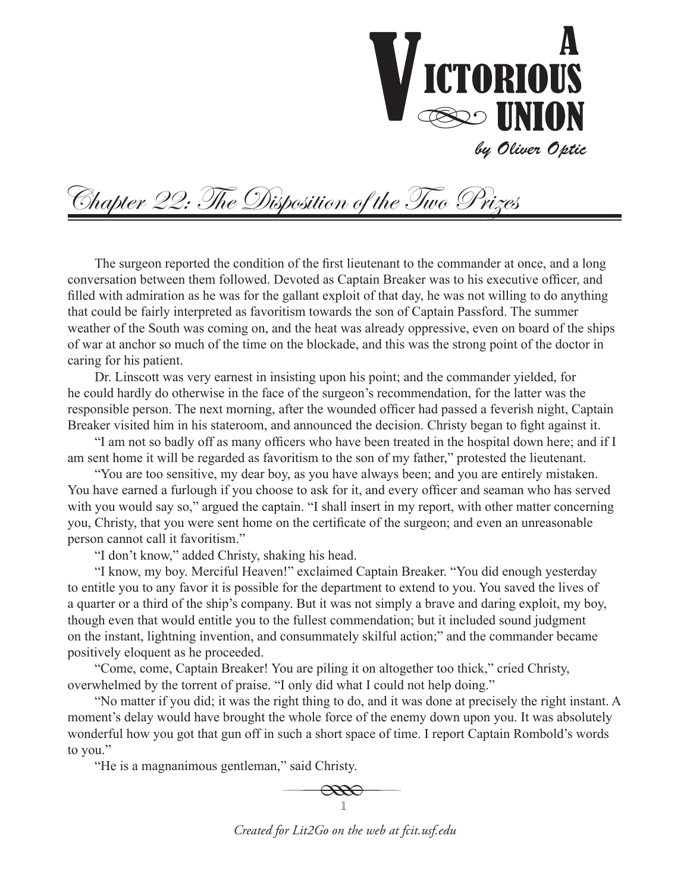

Chapter 22: The Disposition of the Two Prizes

The surgeon reported the condition of the first lieutenant to the commander at once, and a long conversation between them followed. Devoted as Captain Breaker was to his executive officer, and filled with admiration as he was for the gallant exploit of that day, he was not willing to do anything that could be fairly interpreted as favoritism towards the son of Captain Passford. The summer weather of the South was coming on, and the heat was already oppressive, even on board of the ships of war at anchor so much of the time on the blockade, and this was the strong point of the doctor in caring for his patient.

Dr. Linscott was very earnest in insisting upon his point; and the commander yielded, for he could hardly do otherwise in the face of the surgeon's recommendation, for the latter was the responsible person. The next morning, after the wounded officer had passed a feverish night, Captain Breaker visited him in his stateroom, and announced the decision. Christy began to fight against it.

"I am not so badly off as many officers who have been treated in the hospital down here; and if I am sent home it will be regarded as favoritism to the son of my father," protested the lieutenant.

"You are too sensitive, my dear boy, as you have always been; and you are entirely mistaken. You have earned a furlough if you choose to ask for it, and every officer and seaman who has served with you would say so," argued the captain. "I shall insert in my report, with other matter concerning you, Christy, that you were sent home on the certificate of the surgeon; and even an unreasonable person cannot call it favoritism."

"I don't know," added Christy, shaking his head.

"I know, my boy. Merciful Heaven!" exclaimed Captain Breaker. "You did enough yesterday to entitle you to any favor it is possible for the department to extend to you. You saved the lives of a quarter or a third of the ship's company. But it was not simply a brave and daring exploit, my boy, though even that would entitle you to the fullest commendation; but it included sound judgment on the instant, lightning invention, and consummately skilful action;" and the commander became positively eloquent as he proceeded.

"Come, come, Captain Breaker! You are piling it on altogether too thick," cried Christy, overwhelmed by the torrent of praise. "I only did what I could not help doing."

"No matter if you did; it was the right thing to do, and it was done at precisely the right instant. A moment's delay would have brought the whole force of the enemy down upon you. It was absolutely wonderful how you got that gun off in such a short space of time. I report Captain Rombold's words to you."

"He is a magnanimous gentleman," said Christy.

1

*Created for Lit2Go on the web at fcit.usf.edu*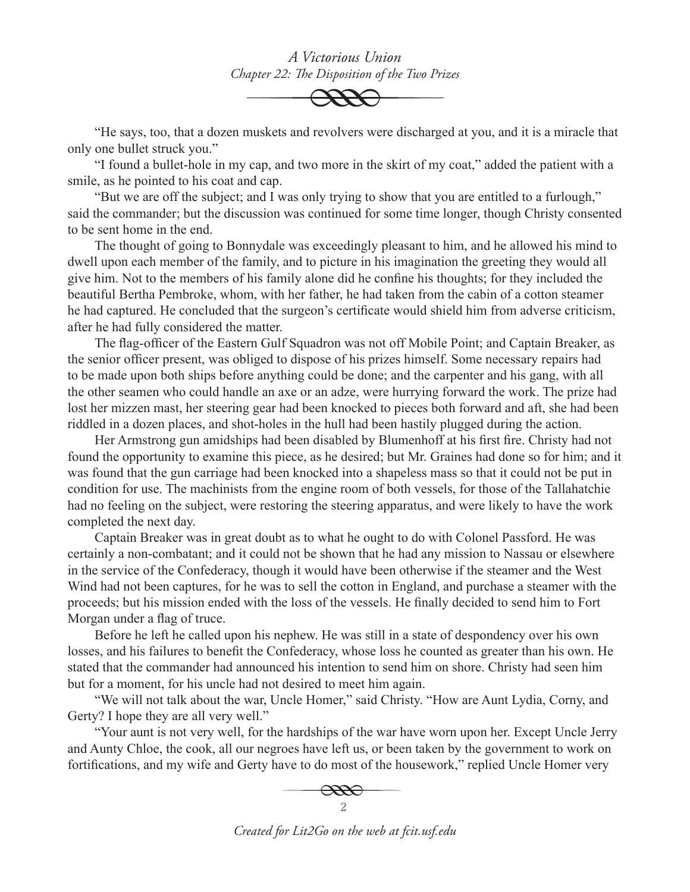*A Victorious Union Chapter 22: The Disposition of the Two Prizes*



"He says, too, that a dozen muskets and revolvers were discharged at you, and it is a miracle that only one bullet struck you."

"I found a bullet-hole in my cap, and two more in the skirt of my coat," added the patient with a smile, as he pointed to his coat and cap.

"But we are off the subject; and I was only trying to show that you are entitled to a furlough," said the commander; but the discussion was continued for some time longer, though Christy consented to be sent home in the end.

The thought of going to Bonnydale was exceedingly pleasant to him, and he allowed his mind to dwell upon each member of the family, and to picture in his imagination the greeting they would all give him. Not to the members of his family alone did he confine his thoughts; for they included the beautiful Bertha Pembroke, whom, with her father, he had taken from the cabin of a cotton steamer he had captured. He concluded that the surgeon's certificate would shield him from adverse criticism, after he had fully considered the matter.

The flag-officer of the Eastern Gulf Squadron was not off Mobile Point; and Captain Breaker, as the senior officer present, was obliged to dispose of his prizes himself. Some necessary repairs had to be made upon both ships before anything could be done; and the carpenter and his gang, with all the other seamen who could handle an axe or an adze, were hurrying forward the work. The prize had lost her mizzen mast, her steering gear had been knocked to pieces both forward and aft, she had been riddled in a dozen places, and shot-holes in the hull had been hastily plugged during the action.

Her Armstrong gun amidships had been disabled by Blumenhoff at his first fire. Christy had not found the opportunity to examine this piece, as he desired; but Mr. Graines had done so for him; and it was found that the gun carriage had been knocked into a shapeless mass so that it could not be put in condition for use. The machinists from the engine room of both vessels, for those of the Tallahatchie had no feeling on the subject, were restoring the steering apparatus, and were likely to have the work completed the next day.

Captain Breaker was in great doubt as to what he ought to do with Colonel Passford. He was certainly a non-combatant; and it could not be shown that he had any mission to Nassau or elsewhere in the service of the Confederacy, though it would have been otherwise if the steamer and the West Wind had not been captures, for he was to sell the cotton in England, and purchase a steamer with the proceeds; but his mission ended with the loss of the vessels. He finally decided to send him to Fort Morgan under a flag of truce.

Before he left he called upon his nephew. He was still in a state of despondency over his own losses, and his failures to benefit the Confederacy, whose loss he counted as greater than his own. He stated that the commander had announced his intention to send him on shore. Christy had seen him but for a moment, for his uncle had not desired to meet him again.

"We will not talk about the war, Uncle Homer," said Christy. "How are Aunt Lydia, Corny, and Gerty? I hope they are all very well."

"Your aunt is not very well, for the hardships of the war have worn upon her. Except Uncle Jerry and Aunty Chloe, the cook, all our negroes have left us, or been taken by the government to work on fortifications, and my wife and Gerty have to do most of the housework," replied Uncle Homer very



*Created for Lit2Go on the web at fcit.usf.edu*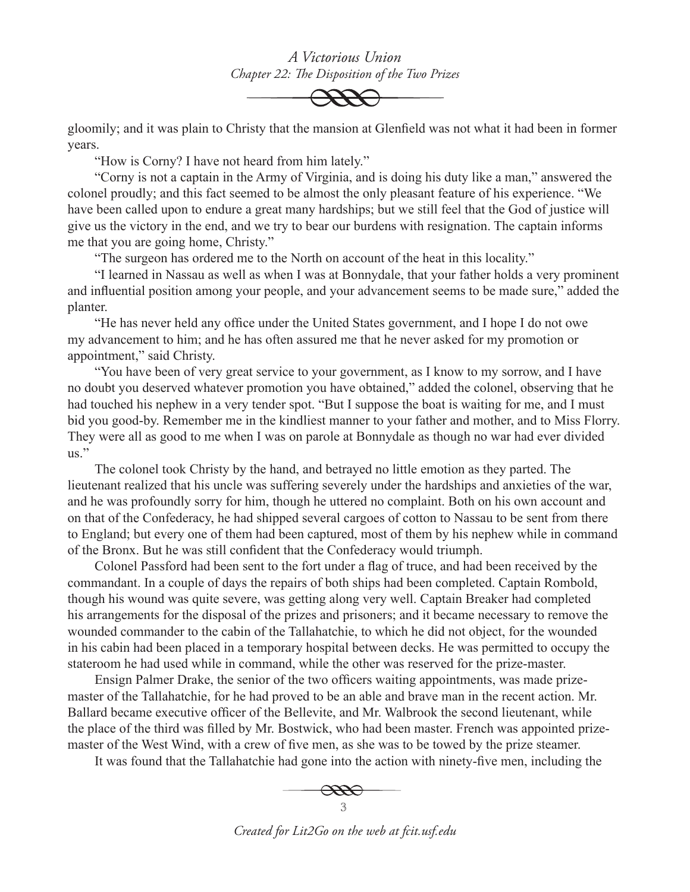*A Victorious Union Chapter 22: The Disposition of the Two Prizes*



gloomily; and it was plain to Christy that the mansion at Glenfield was not what it had been in former years.

"How is Corny? I have not heard from him lately."

"Corny is not a captain in the Army of Virginia, and is doing his duty like a man," answered the colonel proudly; and this fact seemed to be almost the only pleasant feature of his experience. "We have been called upon to endure a great many hardships; but we still feel that the God of justice will give us the victory in the end, and we try to bear our burdens with resignation. The captain informs me that you are going home, Christy."

"The surgeon has ordered me to the North on account of the heat in this locality."

"I learned in Nassau as well as when I was at Bonnydale, that your father holds a very prominent and influential position among your people, and your advancement seems to be made sure," added the planter.

"He has never held any office under the United States government, and I hope I do not owe my advancement to him; and he has often assured me that he never asked for my promotion or appointment," said Christy.

"You have been of very great service to your government, as I know to my sorrow, and I have no doubt you deserved whatever promotion you have obtained," added the colonel, observing that he had touched his nephew in a very tender spot. "But I suppose the boat is waiting for me, and I must bid you good-by. Remember me in the kindliest manner to your father and mother, and to Miss Florry. They were all as good to me when I was on parole at Bonnydale as though no war had ever divided us."

The colonel took Christy by the hand, and betrayed no little emotion as they parted. The lieutenant realized that his uncle was suffering severely under the hardships and anxieties of the war, and he was profoundly sorry for him, though he uttered no complaint. Both on his own account and on that of the Confederacy, he had shipped several cargoes of cotton to Nassau to be sent from there to England; but every one of them had been captured, most of them by his nephew while in command of the Bronx. But he was still confident that the Confederacy would triumph.

Colonel Passford had been sent to the fort under a flag of truce, and had been received by the commandant. In a couple of days the repairs of both ships had been completed. Captain Rombold, though his wound was quite severe, was getting along very well. Captain Breaker had completed his arrangements for the disposal of the prizes and prisoners; and it became necessary to remove the wounded commander to the cabin of the Tallahatchie, to which he did not object, for the wounded in his cabin had been placed in a temporary hospital between decks. He was permitted to occupy the stateroom he had used while in command, while the other was reserved for the prize-master.

Ensign Palmer Drake, the senior of the two officers waiting appointments, was made prizemaster of the Tallahatchie, for he had proved to be an able and brave man in the recent action. Mr. Ballard became executive officer of the Bellevite, and Mr. Walbrook the second lieutenant, while the place of the third was filled by Mr. Bostwick, who had been master. French was appointed prizemaster of the West Wind, with a crew of five men, as she was to be towed by the prize steamer.

It was found that the Tallahatchie had gone into the action with ninety-five men, including the



*Created for Lit2Go on the web at fcit.usf.edu*